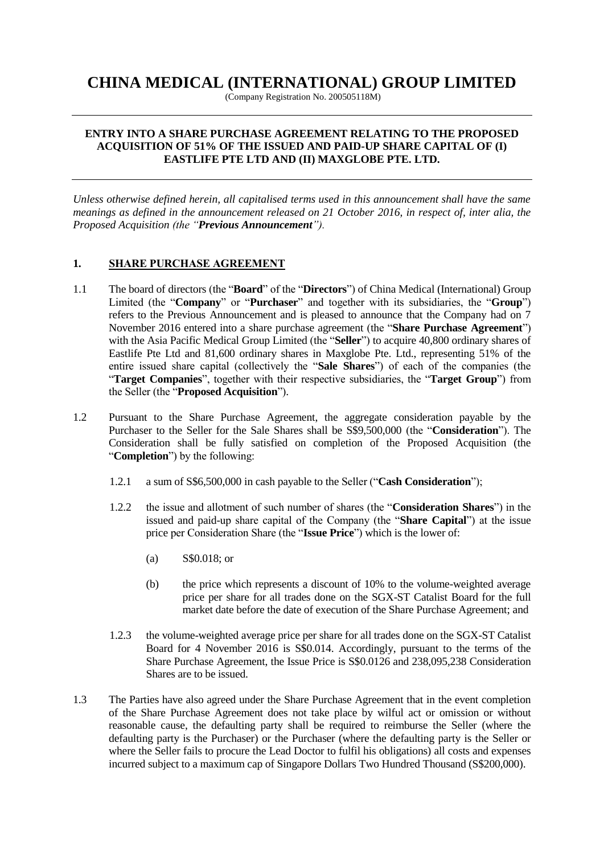# **CHINA MEDICAL (INTERNATIONAL) GROUP LIMITED**

(Company Registration No. 200505118M)

#### **ENTRY INTO A SHARE PURCHASE AGREEMENT RELATING TO THE PROPOSED ACQUISITION OF 51% OF THE ISSUED AND PAID-UP SHARE CAPITAL OF (I) EASTLIFE PTE LTD AND (II) MAXGLOBE PTE. LTD.**

*Unless otherwise defined herein, all capitalised terms used in this announcement shall have the same meanings as defined in the announcement released on 21 October 2016, in respect of, inter alia, the Proposed Acquisition (the "Previous Announcement").*

## **1. SHARE PURCHASE AGREEMENT**

- 1.1 The board of directors (the "**Board**" of the "**Directors**") of China Medical (International) Group Limited (the "**Company**" or "**Purchaser**" and together with its subsidiaries, the "**Group**") refers to the Previous Announcement and is pleased to announce that the Company had on 7 November 2016 entered into a share purchase agreement (the "**Share Purchase Agreement**") with the Asia Pacific Medical Group Limited (the "**Seller**") to acquire 40,800 ordinary shares of Eastlife Pte Ltd and 81,600 ordinary shares in Maxglobe Pte. Ltd., representing 51% of the entire issued share capital (collectively the "**Sale Shares**") of each of the companies (the "**Target Companies**", together with their respective subsidiaries, the "**Target Group**") from the Seller (the "**Proposed Acquisition**").
- 1.2 Pursuant to the Share Purchase Agreement, the aggregate consideration payable by the Purchaser to the Seller for the Sale Shares shall be S\$9,500,000 (the "**Consideration**"). The Consideration shall be fully satisfied on completion of the Proposed Acquisition (the "**Completion**") by the following:
	- 1.2.1 a sum of S\$6,500,000 in cash payable to the Seller ("**Cash Consideration**");
	- 1.2.2 the issue and allotment of such number of shares (the "**Consideration Shares**") in the issued and paid-up share capital of the Company (the "**Share Capital**") at the issue price per Consideration Share (the "**Issue Price**") which is the lower of:
		- (a) S\$0.018; or
		- (b) the price which represents a discount of 10% to the volume-weighted average price per share for all trades done on the SGX-ST Catalist Board for the full market date before the date of execution of the Share Purchase Agreement; and
	- 1.2.3 the volume-weighted average price per share for all trades done on the SGX-ST Catalist Board for 4 November 2016 is S\$0.014. Accordingly, pursuant to the terms of the Share Purchase Agreement, the Issue Price is S\$0.0126 and 238,095,238 Consideration Shares are to be issued.
- 1.3 The Parties have also agreed under the Share Purchase Agreement that in the event completion of the Share Purchase Agreement does not take place by wilful act or omission or without reasonable cause, the defaulting party shall be required to reimburse the Seller (where the defaulting party is the Purchaser) or the Purchaser (where the defaulting party is the Seller or where the Seller fails to procure the Lead Doctor to fulfil his obligations) all costs and expenses incurred subject to a maximum cap of Singapore Dollars Two Hundred Thousand (S\$200,000).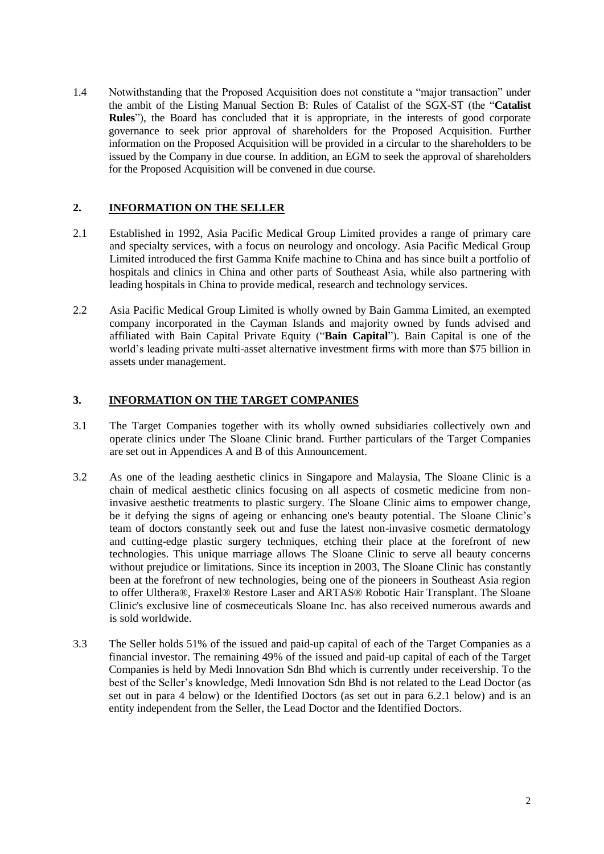1.4 Notwithstanding that the Proposed Acquisition does not constitute a "major transaction" under the ambit of the Listing Manual Section B: Rules of Catalist of the SGX-ST (the "**Catalist Rules**"), the Board has concluded that it is appropriate, in the interests of good corporate governance to seek prior approval of shareholders for the Proposed Acquisition. Further information on the Proposed Acquisition will be provided in a circular to the shareholders to be issued by the Company in due course. In addition, an EGM to seek the approval of shareholders for the Proposed Acquisition will be convened in due course.

## **2. INFORMATION ON THE SELLER**

- 2.1 Established in 1992, Asia Pacific Medical Group Limited provides a range of primary care and specialty services, with a focus on neurology and oncology. Asia Pacific Medical Group Limited introduced the first Gamma Knife machine to China and has since built a portfolio of hospitals and clinics in China and other parts of Southeast Asia, while also partnering with leading hospitals in China to provide medical, research and technology services.
- 2.2 Asia Pacific Medical Group Limited is wholly owned by Bain Gamma Limited, an exempted company incorporated in the Cayman Islands and majority owned by funds advised and affiliated with Bain Capital Private Equity ("**Bain Capital**"). Bain Capital is one of the world's leading private multi-asset alternative investment firms with more than \$75 billion in assets under management.

## **3. INFORMATION ON THE TARGET COMPANIES**

- 3.1 The Target Companies together with its wholly owned subsidiaries collectively own and operate clinics under The Sloane Clinic brand. Further particulars of the Target Companies are set out in Appendices A and B of this Announcement.
- 3.2 As one of the leading aesthetic clinics in Singapore and Malaysia, The Sloane Clinic is a chain of medical aesthetic clinics focusing on all aspects of cosmetic medicine from noninvasive aesthetic treatments to plastic surgery. The Sloane Clinic aims to empower change, be it defying the signs of ageing or enhancing one's beauty potential. The Sloane Clinic's team of doctors constantly seek out and fuse the latest non-invasive cosmetic dermatology and cutting-edge plastic surgery techniques, etching their place at the forefront of new technologies. This unique marriage allows The Sloane Clinic to serve all beauty concerns without prejudice or limitations. Since its inception in 2003, The Sloane Clinic has constantly been at the forefront of new technologies, being one of the pioneers in Southeast Asia region to offer Ulthera®, Fraxel® Restore Laser and ARTAS® Robotic Hair Transplant. The Sloane Clinic's exclusive line of cosmeceuticals Sloane Inc. has also received numerous awards and is sold worldwide.
- 3.3 The Seller holds 51% of the issued and paid-up capital of each of the Target Companies as a financial investor. The remaining 49% of the issued and paid-up capital of each of the Target Companies is held by Medi Innovation Sdn Bhd which is currently under receivership. To the best of the Seller's knowledge, Medi Innovation Sdn Bhd is not related to the Lead Doctor (as set out in para 4 below) or the Identified Doctors (as set out in para 6.2.1 below) and is an entity independent from the Seller, the Lead Doctor and the Identified Doctors.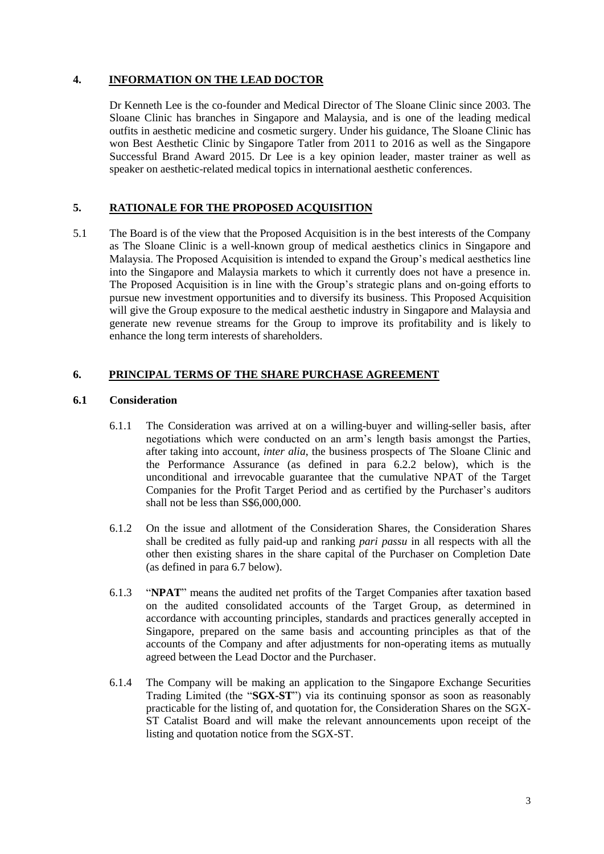## **4. INFORMATION ON THE LEAD DOCTOR**

Dr Kenneth Lee is the co-founder and Medical Director of The Sloane Clinic since 2003. The Sloane Clinic has branches in Singapore and Malaysia, and is one of the leading medical outfits in aesthetic medicine and cosmetic surgery. Under his guidance, The Sloane Clinic has won Best Aesthetic Clinic by Singapore Tatler from 2011 to 2016 as well as the Singapore Successful Brand Award 2015. Dr Lee is a key opinion leader, master trainer as well as speaker on aesthetic-related medical topics in international aesthetic conferences.

## **5. RATIONALE FOR THE PROPOSED ACQUISITION**

5.1 The Board is of the view that the Proposed Acquisition is in the best interests of the Company as The Sloane Clinic is a well-known group of medical aesthetics clinics in Singapore and Malaysia. The Proposed Acquisition is intended to expand the Group's medical aesthetics line into the Singapore and Malaysia markets to which it currently does not have a presence in. The Proposed Acquisition is in line with the Group's strategic plans and on-going efforts to pursue new investment opportunities and to diversify its business. This Proposed Acquisition will give the Group exposure to the medical aesthetic industry in Singapore and Malaysia and generate new revenue streams for the Group to improve its profitability and is likely to enhance the long term interests of shareholders.

## **6. PRINCIPAL TERMS OF THE SHARE PURCHASE AGREEMENT**

## **6.1 Consideration**

- 6.1.1 The Consideration was arrived at on a willing-buyer and willing-seller basis, after negotiations which were conducted on an arm's length basis amongst the Parties, after taking into account, *inter alia*, the business prospects of The Sloane Clinic and the Performance Assurance (as defined in para 6.2.2 below), which is the unconditional and irrevocable guarantee that the cumulative NPAT of the Target Companies for the Profit Target Period and as certified by the Purchaser's auditors shall not be less than S\$6,000,000.
- 6.1.2 On the issue and allotment of the Consideration Shares, the Consideration Shares shall be credited as fully paid-up and ranking *pari passu* in all respects with all the other then existing shares in the share capital of the Purchaser on Completion Date (as defined in para 6.7 below).
- 6.1.3 "**NPAT**" means the audited net profits of the Target Companies after taxation based on the audited consolidated accounts of the Target Group, as determined in accordance with accounting principles, standards and practices generally accepted in Singapore, prepared on the same basis and accounting principles as that of the accounts of the Company and after adjustments for non-operating items as mutually agreed between the Lead Doctor and the Purchaser.
- 6.1.4 The Company will be making an application to the Singapore Exchange Securities Trading Limited (the "**SGX-ST**") via its continuing sponsor as soon as reasonably practicable for the listing of, and quotation for, the Consideration Shares on the SGX-ST Catalist Board and will make the relevant announcements upon receipt of the listing and quotation notice from the SGX-ST.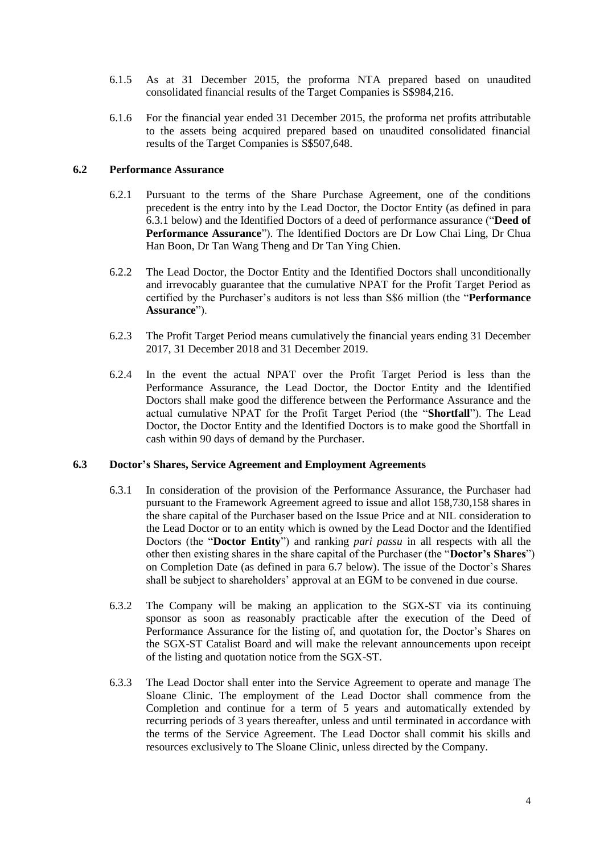- 6.1.5 As at 31 December 2015, the proforma NTA prepared based on unaudited consolidated financial results of the Target Companies is S\$984,216.
- 6.1.6 For the financial year ended 31 December 2015, the proforma net profits attributable to the assets being acquired prepared based on unaudited consolidated financial results of the Target Companies is S\$507,648.

#### **6.2 Performance Assurance**

- 6.2.1 Pursuant to the terms of the Share Purchase Agreement, one of the conditions precedent is the entry into by the Lead Doctor, the Doctor Entity (as defined in para 6.3.1 below) and the Identified Doctors of a deed of performance assurance ("**Deed of Performance Assurance**"). The Identified Doctors are Dr Low Chai Ling, Dr Chua Han Boon, Dr Tan Wang Theng and Dr Tan Ying Chien.
- 6.2.2 The Lead Doctor, the Doctor Entity and the Identified Doctors shall unconditionally and irrevocably guarantee that the cumulative NPAT for the Profit Target Period as certified by the Purchaser's auditors is not less than S\$6 million (the "**Performance Assurance**").
- 6.2.3 The Profit Target Period means cumulatively the financial years ending 31 December 2017, 31 December 2018 and 31 December 2019.
- 6.2.4 In the event the actual NPAT over the Profit Target Period is less than the Performance Assurance, the Lead Doctor, the Doctor Entity and the Identified Doctors shall make good the difference between the Performance Assurance and the actual cumulative NPAT for the Profit Target Period (the "**Shortfall**"). The Lead Doctor, the Doctor Entity and the Identified Doctors is to make good the Shortfall in cash within 90 days of demand by the Purchaser.

#### **6.3 Doctor's Shares, Service Agreement and Employment Agreements**

- 6.3.1 In consideration of the provision of the Performance Assurance, the Purchaser had pursuant to the Framework Agreement agreed to issue and allot 158,730,158 shares in the share capital of the Purchaser based on the Issue Price and at NIL consideration to the Lead Doctor or to an entity which is owned by the Lead Doctor and the Identified Doctors (the "**Doctor Entity**") and ranking *pari passu* in all respects with all the other then existing shares in the share capital of the Purchaser (the "**Doctor's Shares**") on Completion Date (as defined in para 6.7 below). The issue of the Doctor's Shares shall be subject to shareholders' approval at an EGM to be convened in due course.
- 6.3.2 The Company will be making an application to the SGX-ST via its continuing sponsor as soon as reasonably practicable after the execution of the Deed of Performance Assurance for the listing of, and quotation for, the Doctor's Shares on the SGX-ST Catalist Board and will make the relevant announcements upon receipt of the listing and quotation notice from the SGX-ST.
- 6.3.3 The Lead Doctor shall enter into the Service Agreement to operate and manage The Sloane Clinic. The employment of the Lead Doctor shall commence from the Completion and continue for a term of 5 years and automatically extended by recurring periods of 3 years thereafter, unless and until terminated in accordance with the terms of the Service Agreement. The Lead Doctor shall commit his skills and resources exclusively to The Sloane Clinic, unless directed by the Company.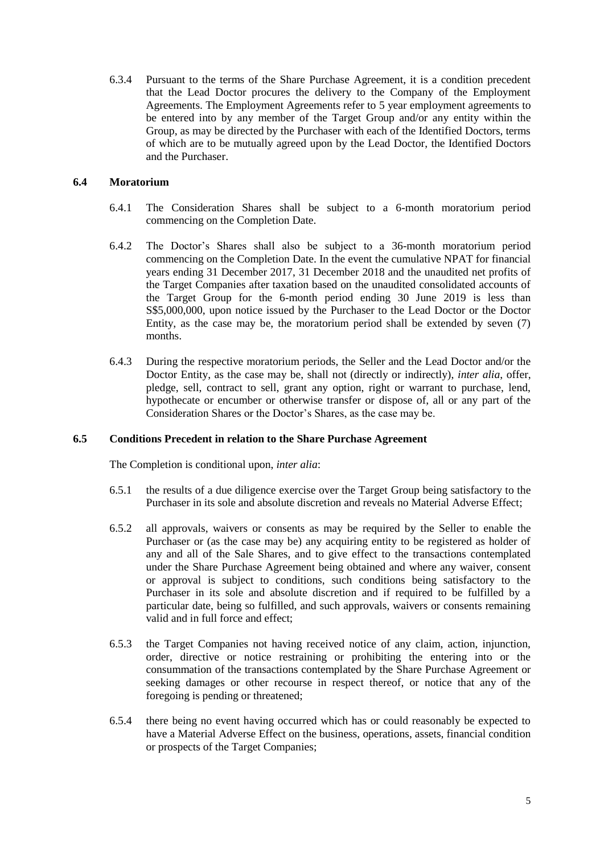6.3.4 Pursuant to the terms of the Share Purchase Agreement, it is a condition precedent that the Lead Doctor procures the delivery to the Company of the Employment Agreements. The Employment Agreements refer to 5 year employment agreements to be entered into by any member of the Target Group and/or any entity within the Group, as may be directed by the Purchaser with each of the Identified Doctors, terms of which are to be mutually agreed upon by the Lead Doctor, the Identified Doctors and the Purchaser.

## **6.4 Moratorium**

- 6.4.1 The Consideration Shares shall be subject to a 6-month moratorium period commencing on the Completion Date.
- 6.4.2 The Doctor's Shares shall also be subject to a 36-month moratorium period commencing on the Completion Date. In the event the cumulative NPAT for financial years ending 31 December 2017, 31 December 2018 and the unaudited net profits of the Target Companies after taxation based on the unaudited consolidated accounts of the Target Group for the 6-month period ending 30 June 2019 is less than S\$5,000,000, upon notice issued by the Purchaser to the Lead Doctor or the Doctor Entity, as the case may be, the moratorium period shall be extended by seven (7) months.
- 6.4.3 During the respective moratorium periods, the Seller and the Lead Doctor and/or the Doctor Entity, as the case may be, shall not (directly or indirectly), *inter alia*, offer, pledge, sell, contract to sell, grant any option, right or warrant to purchase, lend, hypothecate or encumber or otherwise transfer or dispose of, all or any part of the Consideration Shares or the Doctor's Shares, as the case may be.

#### **6.5 Conditions Precedent in relation to the Share Purchase Agreement**

The Completion is conditional upon, *inter alia*:

- 6.5.1 the results of a due diligence exercise over the Target Group being satisfactory to the Purchaser in its sole and absolute discretion and reveals no Material Adverse Effect;
- 6.5.2 all approvals, waivers or consents as may be required by the Seller to enable the Purchaser or (as the case may be) any acquiring entity to be registered as holder of any and all of the Sale Shares, and to give effect to the transactions contemplated under the Share Purchase Agreement being obtained and where any waiver, consent or approval is subject to conditions, such conditions being satisfactory to the Purchaser in its sole and absolute discretion and if required to be fulfilled by a particular date, being so fulfilled, and such approvals, waivers or consents remaining valid and in full force and effect;
- 6.5.3 the Target Companies not having received notice of any claim, action, injunction, order, directive or notice restraining or prohibiting the entering into or the consummation of the transactions contemplated by the Share Purchase Agreement or seeking damages or other recourse in respect thereof, or notice that any of the foregoing is pending or threatened;
- 6.5.4 there being no event having occurred which has or could reasonably be expected to have a Material Adverse Effect on the business, operations, assets, financial condition or prospects of the Target Companies;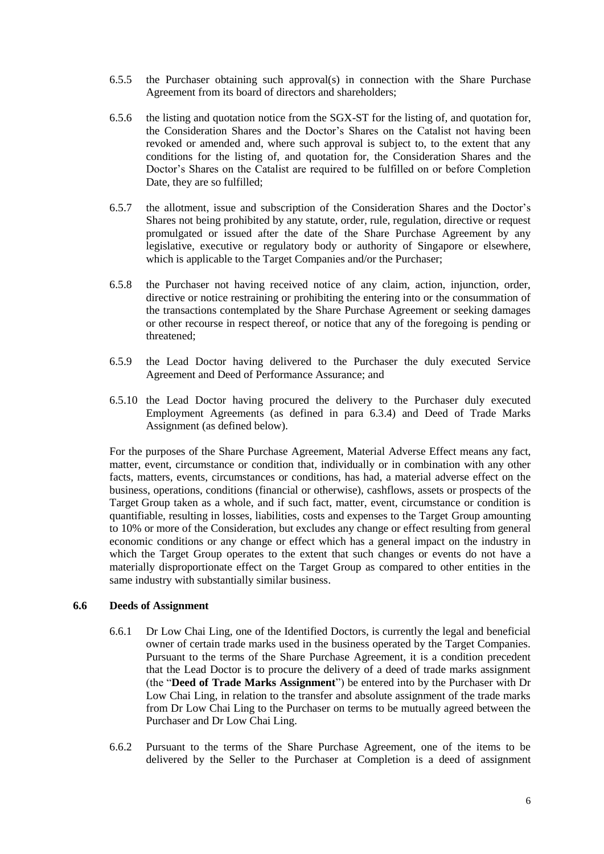- 6.5.5 the Purchaser obtaining such approval(s) in connection with the Share Purchase Agreement from its board of directors and shareholders;
- 6.5.6 the listing and quotation notice from the SGX-ST for the listing of, and quotation for, the Consideration Shares and the Doctor's Shares on the Catalist not having been revoked or amended and, where such approval is subject to, to the extent that any conditions for the listing of, and quotation for, the Consideration Shares and the Doctor's Shares on the Catalist are required to be fulfilled on or before Completion Date, they are so fulfilled;
- 6.5.7 the allotment, issue and subscription of the Consideration Shares and the Doctor's Shares not being prohibited by any statute, order, rule, regulation, directive or request promulgated or issued after the date of the Share Purchase Agreement by any legislative, executive or regulatory body or authority of Singapore or elsewhere, which is applicable to the Target Companies and/or the Purchaser;
- 6.5.8 the Purchaser not having received notice of any claim, action, injunction, order, directive or notice restraining or prohibiting the entering into or the consummation of the transactions contemplated by the Share Purchase Agreement or seeking damages or other recourse in respect thereof, or notice that any of the foregoing is pending or threatened;
- 6.5.9 the Lead Doctor having delivered to the Purchaser the duly executed Service Agreement and Deed of Performance Assurance; and
- 6.5.10 the Lead Doctor having procured the delivery to the Purchaser duly executed Employment Agreements (as defined in para 6.3.4) and Deed of Trade Marks Assignment (as defined below).

For the purposes of the Share Purchase Agreement, Material Adverse Effect means any fact, matter, event, circumstance or condition that, individually or in combination with any other facts, matters, events, circumstances or conditions, has had, a material adverse effect on the business, operations, conditions (financial or otherwise), cashflows, assets or prospects of the Target Group taken as a whole, and if such fact, matter, event, circumstance or condition is quantifiable, resulting in losses, liabilities, costs and expenses to the Target Group amounting to 10% or more of the Consideration, but excludes any change or effect resulting from general economic conditions or any change or effect which has a general impact on the industry in which the Target Group operates to the extent that such changes or events do not have a materially disproportionate effect on the Target Group as compared to other entities in the same industry with substantially similar business.

#### **6.6 Deeds of Assignment**

- 6.6.1 Dr Low Chai Ling, one of the Identified Doctors, is currently the legal and beneficial owner of certain trade marks used in the business operated by the Target Companies. Pursuant to the terms of the Share Purchase Agreement, it is a condition precedent that the Lead Doctor is to procure the delivery of a deed of trade marks assignment (the "**Deed of Trade Marks Assignment**") be entered into by the Purchaser with Dr Low Chai Ling, in relation to the transfer and absolute assignment of the trade marks from Dr Low Chai Ling to the Purchaser on terms to be mutually agreed between the Purchaser and Dr Low Chai Ling.
- 6.6.2 Pursuant to the terms of the Share Purchase Agreement, one of the items to be delivered by the Seller to the Purchaser at Completion is a deed of assignment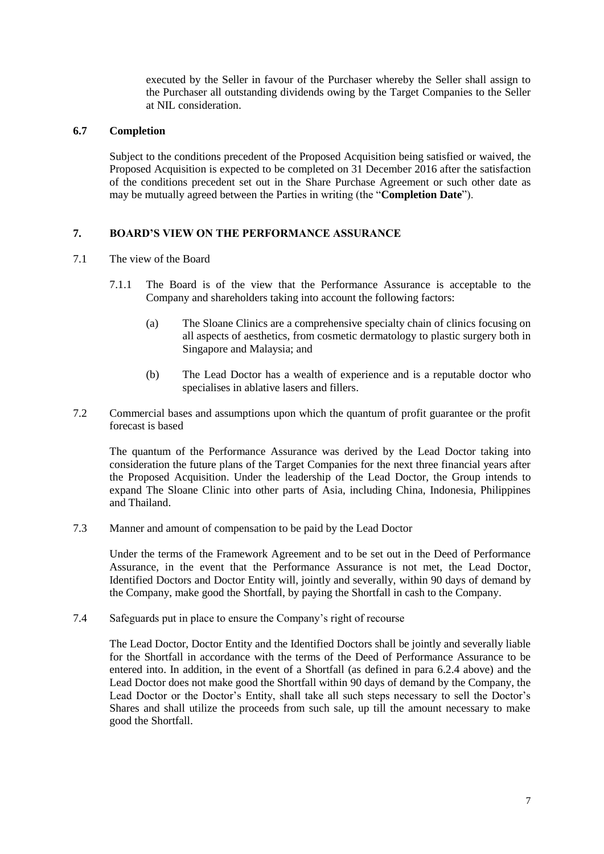executed by the Seller in favour of the Purchaser whereby the Seller shall assign to the Purchaser all outstanding dividends owing by the Target Companies to the Seller at NIL consideration.

## **6.7 Completion**

Subject to the conditions precedent of the Proposed Acquisition being satisfied or waived, the Proposed Acquisition is expected to be completed on 31 December 2016 after the satisfaction of the conditions precedent set out in the Share Purchase Agreement or such other date as may be mutually agreed between the Parties in writing (the "**Completion Date**").

## **7. BOARD'S VIEW ON THE PERFORMANCE ASSURANCE**

- 7.1 The view of the Board
	- 7.1.1 The Board is of the view that the Performance Assurance is acceptable to the Company and shareholders taking into account the following factors:
		- (a) The Sloane Clinics are a comprehensive specialty chain of clinics focusing on all aspects of aesthetics, from cosmetic dermatology to plastic surgery both in Singapore and Malaysia; and
		- (b) The Lead Doctor has a wealth of experience and is a reputable doctor who specialises in ablative lasers and fillers.
- 7.2 Commercial bases and assumptions upon which the quantum of profit guarantee or the profit forecast is based

The quantum of the Performance Assurance was derived by the Lead Doctor taking into consideration the future plans of the Target Companies for the next three financial years after the Proposed Acquisition. Under the leadership of the Lead Doctor, the Group intends to expand The Sloane Clinic into other parts of Asia, including China, Indonesia, Philippines and Thailand.

7.3 Manner and amount of compensation to be paid by the Lead Doctor

Under the terms of the Framework Agreement and to be set out in the Deed of Performance Assurance, in the event that the Performance Assurance is not met, the Lead Doctor, Identified Doctors and Doctor Entity will, jointly and severally, within 90 days of demand by the Company, make good the Shortfall, by paying the Shortfall in cash to the Company.

7.4 Safeguards put in place to ensure the Company's right of recourse

The Lead Doctor, Doctor Entity and the Identified Doctors shall be jointly and severally liable for the Shortfall in accordance with the terms of the Deed of Performance Assurance to be entered into. In addition, in the event of a Shortfall (as defined in para 6.2.4 above) and the Lead Doctor does not make good the Shortfall within 90 days of demand by the Company, the Lead Doctor or the Doctor's Entity, shall take all such steps necessary to sell the Doctor's Shares and shall utilize the proceeds from such sale, up till the amount necessary to make good the Shortfall.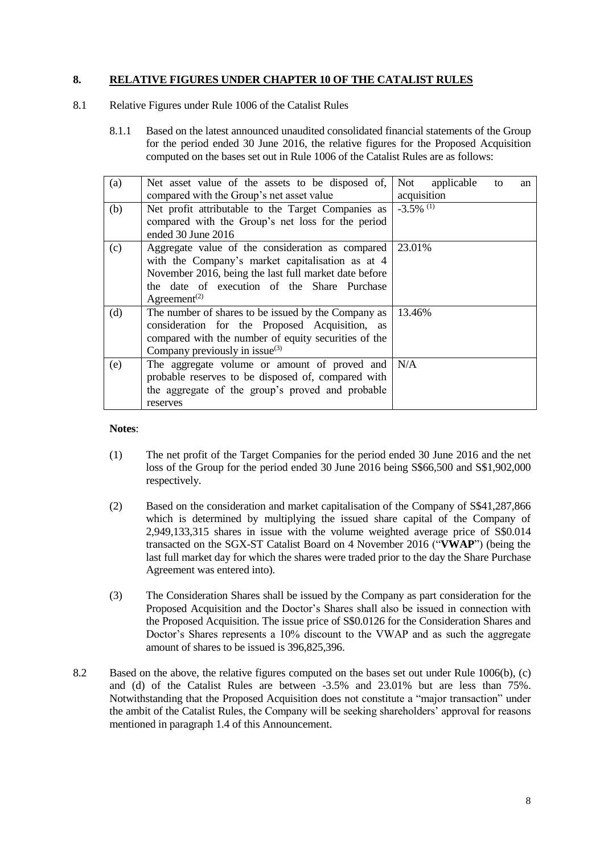## **8. RELATIVE FIGURES UNDER CHAPTER 10 OF THE CATALIST RULES**

- 8.1 Relative Figures under Rule 1006 of the Catalist Rules
	- 8.1.1 Based on the latest announced unaudited consolidated financial statements of the Group for the period ended 30 June 2016, the relative figures for the Proposed Acquisition computed on the bases set out in Rule 1006 of the Catalist Rules are as follows:

| (a) | Net asset value of the assets to be disposed of,      | Not applicable<br>to<br>an |
|-----|-------------------------------------------------------|----------------------------|
|     | compared with the Group's net asset value             | acquisition                |
| (b) | Net profit attributable to the Target Companies as    | $-3.5\%$ <sup>(1)</sup>    |
|     | compared with the Group's net loss for the period     |                            |
|     | ended 30 June 2016                                    |                            |
| (c) | Aggregate value of the consideration as compared      | 23.01%                     |
|     | with the Company's market capitalisation as at 4      |                            |
|     | November 2016, being the last full market date before |                            |
|     | the date of execution of the Share Purchase           |                            |
|     | Agreement <sup>(2)</sup>                              |                            |
| (d) | The number of shares to be issued by the Company as   | 13.46%                     |
|     | consideration for the Proposed Acquisition, as        |                            |
|     | compared with the number of equity securities of the  |                            |
|     | Company previously in issue $(3)$                     |                            |
| (e) | The aggregate volume or amount of proved and $N/A$    |                            |
|     | probable reserves to be disposed of, compared with    |                            |
|     | the aggregate of the group's proved and probable      |                            |
|     | reserves                                              |                            |

**Notes**:

- (1) The net profit of the Target Companies for the period ended 30 June 2016 and the net loss of the Group for the period ended 30 June 2016 being S\$66,500 and S\$1,902,000 respectively.
- (2) Based on the consideration and market capitalisation of the Company of S\$41,287,866 which is determined by multiplying the issued share capital of the Company of 2,949,133,315 shares in issue with the volume weighted average price of S\$0.014 transacted on the SGX-ST Catalist Board on 4 November 2016 ("**VWAP**") (being the last full market day for which the shares were traded prior to the day the Share Purchase Agreement was entered into).
- (3) The Consideration Shares shall be issued by the Company as part consideration for the Proposed Acquisition and the Doctor's Shares shall also be issued in connection with the Proposed Acquisition. The issue price of S\$0.0126 for the Consideration Shares and Doctor's Shares represents a 10% discount to the VWAP and as such the aggregate amount of shares to be issued is 396,825,396.
- 8.2 Based on the above, the relative figures computed on the bases set out under Rule 1006(b), (c) and (d) of the Catalist Rules are between -3.5% and 23.01% but are less than 75%. Notwithstanding that the Proposed Acquisition does not constitute a "major transaction" under the ambit of the Catalist Rules, the Company will be seeking shareholders' approval for reasons mentioned in paragraph 1.4 of this Announcement.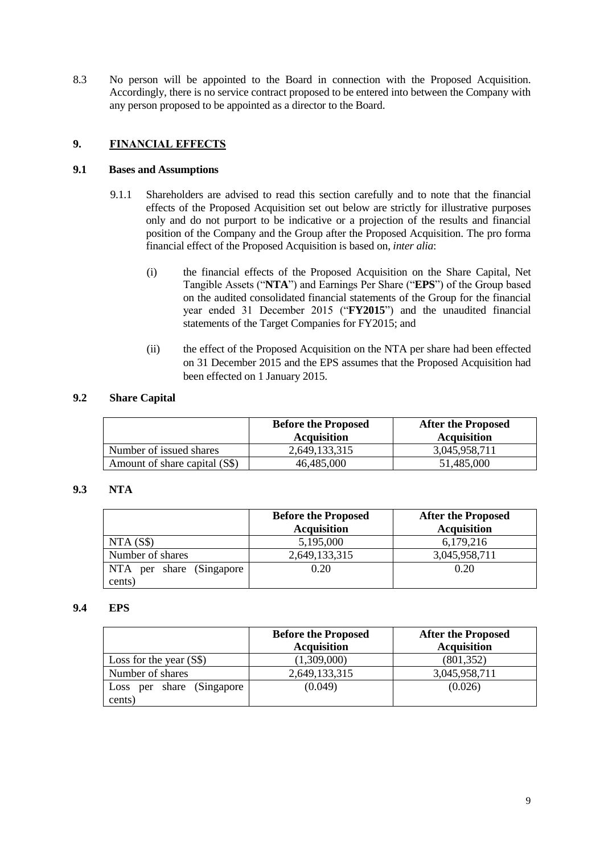8.3 No person will be appointed to the Board in connection with the Proposed Acquisition. Accordingly, there is no service contract proposed to be entered into between the Company with any person proposed to be appointed as a director to the Board.

## **9. FINANCIAL EFFECTS**

## **9.1 Bases and Assumptions**

- 9.1.1 Shareholders are advised to read this section carefully and to note that the financial effects of the Proposed Acquisition set out below are strictly for illustrative purposes only and do not purport to be indicative or a projection of the results and financial position of the Company and the Group after the Proposed Acquisition. The pro forma financial effect of the Proposed Acquisition is based on, *inter alia*:
	- (i) the financial effects of the Proposed Acquisition on the Share Capital, Net Tangible Assets ("**NTA**") and Earnings Per Share ("**EPS**") of the Group based on the audited consolidated financial statements of the Group for the financial year ended 31 December 2015 ("**FY2015**") and the unaudited financial statements of the Target Companies for FY2015; and
	- (ii) the effect of the Proposed Acquisition on the NTA per share had been effected on 31 December 2015 and the EPS assumes that the Proposed Acquisition had been effected on 1 January 2015.

## **9.2 Share Capital**

|                               | <b>Before the Proposed</b><br><b>Acquisition</b> | <b>After the Proposed</b><br><b>Acquisition</b> |
|-------------------------------|--------------------------------------------------|-------------------------------------------------|
| Number of issued shares       | 2,649,133,315                                    | 3.045.958.711                                   |
| Amount of share capital (S\$) | 46,485,000                                       | 51,485,000                                      |

## **9.3 NTA**

|                          | <b>Before the Proposed</b><br><b>Acquisition</b> | <b>After the Proposed</b><br><b>Acquisition</b> |
|--------------------------|--------------------------------------------------|-------------------------------------------------|
| NTA(S\$)                 | 5,195,000                                        | 6,179,216                                       |
| Number of shares         | 2,649,133,315                                    | 3,045,958,711                                   |
| NTA per share (Singapore | 0.20                                             | 0.20                                            |
| cents)                   |                                                  |                                                 |

#### **9.4 EPS**

|                                         | <b>Before the Proposed</b><br><b>Acquisition</b> | <b>After the Proposed</b><br><b>Acquisition</b> |
|-----------------------------------------|--------------------------------------------------|-------------------------------------------------|
| Loss for the year $(S\$ )               | (1,309,000)                                      | (801, 352)                                      |
| Number of shares                        | 2,649,133,315                                    | 3,045,958,711                                   |
| per share (Singapore)<br>Loss<br>cents) | (0.049)                                          | (0.026)                                         |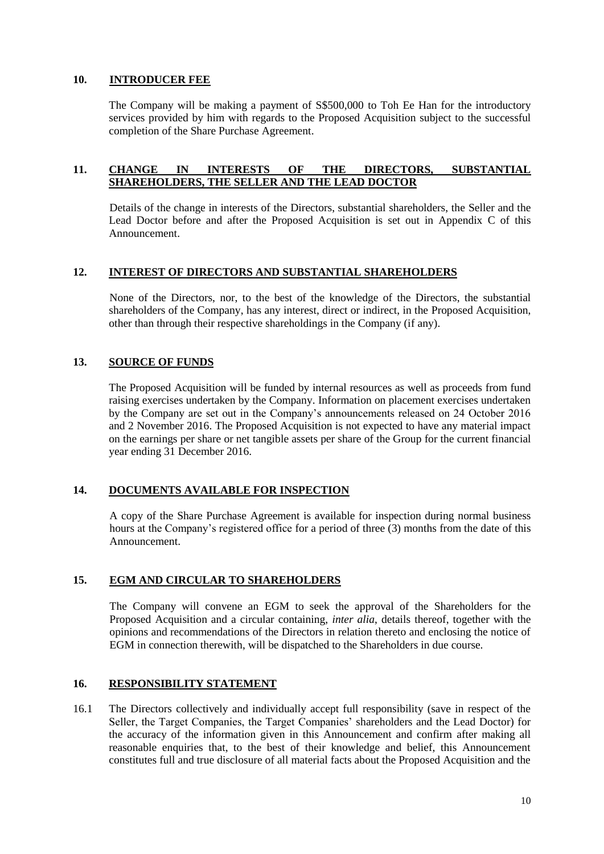## **10. INTRODUCER FEE**

The Company will be making a payment of S\$500,000 to Toh Ee Han for the introductory services provided by him with regards to the Proposed Acquisition subject to the successful completion of the Share Purchase Agreement.

## **11. CHANGE IN INTERESTS OF THE DIRECTORS, SUBSTANTIAL SHAREHOLDERS, THE SELLER AND THE LEAD DOCTOR**

Details of the change in interests of the Directors, substantial shareholders, the Seller and the Lead Doctor before and after the Proposed Acquisition is set out in Appendix C of this Announcement.

## **12. INTEREST OF DIRECTORS AND SUBSTANTIAL SHAREHOLDERS**

None of the Directors, nor, to the best of the knowledge of the Directors, the substantial shareholders of the Company, has any interest, direct or indirect, in the Proposed Acquisition, other than through their respective shareholdings in the Company (if any).

## **13. SOURCE OF FUNDS**

The Proposed Acquisition will be funded by internal resources as well as proceeds from fund raising exercises undertaken by the Company. Information on placement exercises undertaken by the Company are set out in the Company's announcements released on 24 October 2016 and 2 November 2016. The Proposed Acquisition is not expected to have any material impact on the earnings per share or net tangible assets per share of the Group for the current financial year ending 31 December 2016.

## **14. DOCUMENTS AVAILABLE FOR INSPECTION**

A copy of the Share Purchase Agreement is available for inspection during normal business hours at the Company's registered office for a period of three  $(3)$  months from the date of this Announcement.

#### **15. EGM AND CIRCULAR TO SHAREHOLDERS**

The Company will convene an EGM to seek the approval of the Shareholders for the Proposed Acquisition and a circular containing, *inter alia*, details thereof, together with the opinions and recommendations of the Directors in relation thereto and enclosing the notice of EGM in connection therewith, will be dispatched to the Shareholders in due course.

#### **16. RESPONSIBILITY STATEMENT**

16.1 The Directors collectively and individually accept full responsibility (save in respect of the Seller, the Target Companies, the Target Companies' shareholders and the Lead Doctor) for the accuracy of the information given in this Announcement and confirm after making all reasonable enquiries that, to the best of their knowledge and belief, this Announcement constitutes full and true disclosure of all material facts about the Proposed Acquisition and the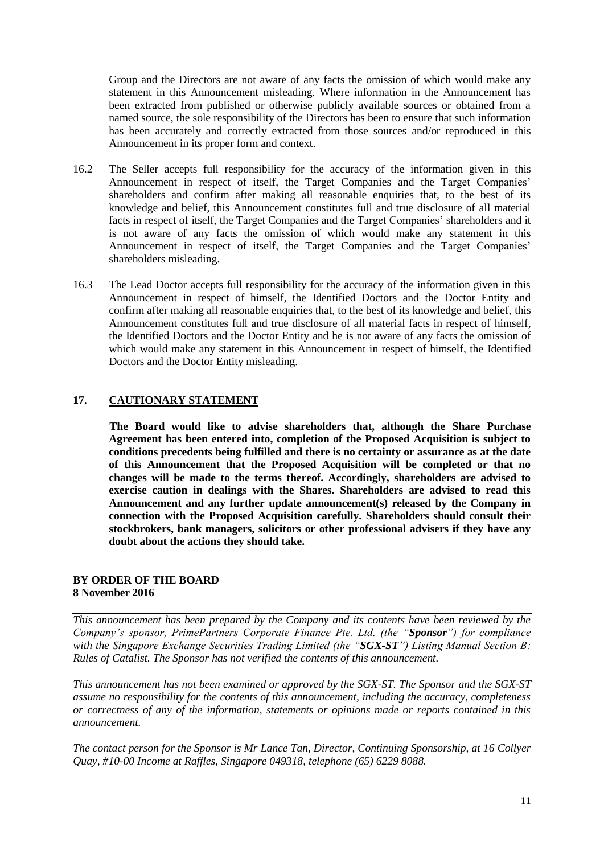Group and the Directors are not aware of any facts the omission of which would make any statement in this Announcement misleading. Where information in the Announcement has been extracted from published or otherwise publicly available sources or obtained from a named source, the sole responsibility of the Directors has been to ensure that such information has been accurately and correctly extracted from those sources and/or reproduced in this Announcement in its proper form and context.

- 16.2 The Seller accepts full responsibility for the accuracy of the information given in this Announcement in respect of itself, the Target Companies and the Target Companies' shareholders and confirm after making all reasonable enquiries that, to the best of its knowledge and belief, this Announcement constitutes full and true disclosure of all material facts in respect of itself, the Target Companies and the Target Companies' shareholders and it is not aware of any facts the omission of which would make any statement in this Announcement in respect of itself, the Target Companies and the Target Companies' shareholders misleading.
- 16.3 The Lead Doctor accepts full responsibility for the accuracy of the information given in this Announcement in respect of himself, the Identified Doctors and the Doctor Entity and confirm after making all reasonable enquiries that, to the best of its knowledge and belief, this Announcement constitutes full and true disclosure of all material facts in respect of himself, the Identified Doctors and the Doctor Entity and he is not aware of any facts the omission of which would make any statement in this Announcement in respect of himself, the Identified Doctors and the Doctor Entity misleading.

## **17. CAUTIONARY STATEMENT**

**The Board would like to advise shareholders that, although the Share Purchase Agreement has been entered into, completion of the Proposed Acquisition is subject to conditions precedents being fulfilled and there is no certainty or assurance as at the date of this Announcement that the Proposed Acquisition will be completed or that no changes will be made to the terms thereof. Accordingly, shareholders are advised to exercise caution in dealings with the Shares. Shareholders are advised to read this Announcement and any further update announcement(s) released by the Company in connection with the Proposed Acquisition carefully. Shareholders should consult their stockbrokers, bank managers, solicitors or other professional advisers if they have any doubt about the actions they should take.**

#### **BY ORDER OF THE BOARD 8 November 2016**

*This announcement has been prepared by the Company and its contents have been reviewed by the Company's sponsor, PrimePartners Corporate Finance Pte. Ltd. (the "Sponsor") for compliance with the Singapore Exchange Securities Trading Limited (the "SGX-ST") Listing Manual Section B: Rules of Catalist. The Sponsor has not verified the contents of this announcement.* 

*This announcement has not been examined or approved by the SGX-ST. The Sponsor and the SGX-ST assume no responsibility for the contents of this announcement, including the accuracy, completeness or correctness of any of the information, statements or opinions made or reports contained in this announcement.* 

*The contact person for the Sponsor is Mr Lance Tan, Director, Continuing Sponsorship, at 16 Collyer Quay, #10-00 Income at Raffles, Singapore 049318, telephone (65) 6229 8088.*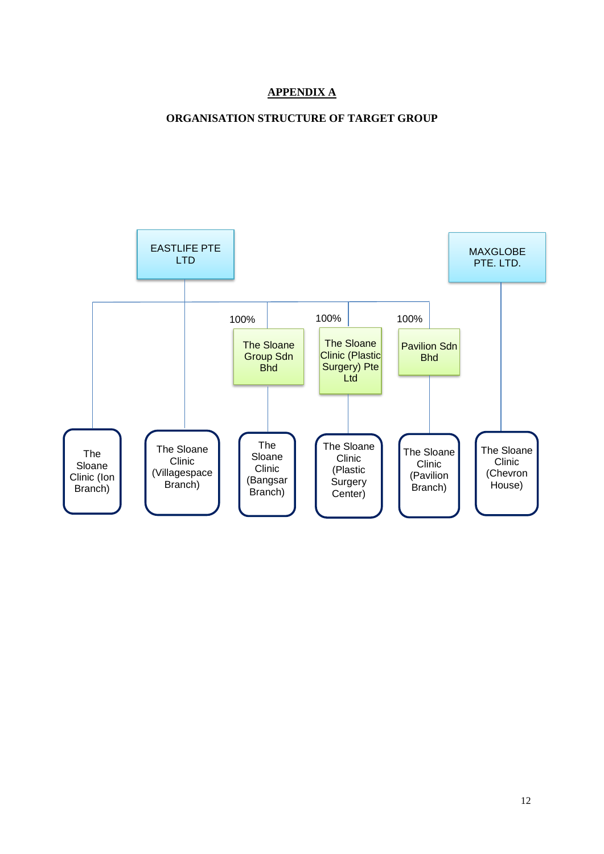## **APPENDIX A**

## **ORGANISATION STRUCTURE OF TARGET GROUP**

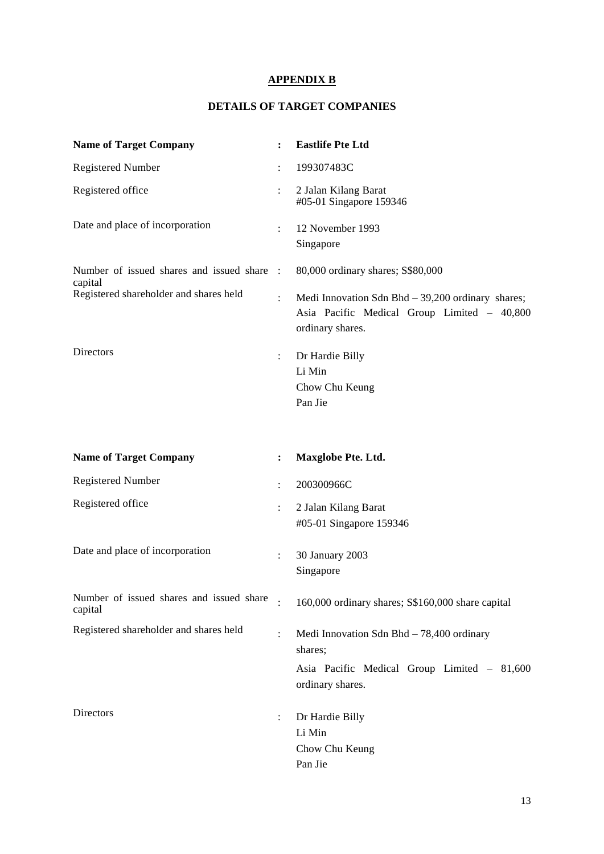## **APPENDIX B**

## **DETAILS OF TARGET COMPANIES**

| <b>Name of Target Company</b>                       |                | <b>Eastlife Pte Ltd</b>                                                                                               |  |  |
|-----------------------------------------------------|----------------|-----------------------------------------------------------------------------------------------------------------------|--|--|
| <b>Registered Number</b>                            | $\ddot{\cdot}$ | 199307483C                                                                                                            |  |  |
| Registered office                                   |                | 2 Jalan Kilang Barat<br>#05-01 Singapore 159346                                                                       |  |  |
| Date and place of incorporation                     | $\ddot{\cdot}$ | 12 November 1993<br>Singapore                                                                                         |  |  |
| Number of issued shares and issued share<br>capital | $\mathbb{R}$   | 80,000 ordinary shares; S\$80,000                                                                                     |  |  |
| Registered shareholder and shares held              |                | Medi Innovation Sdn Bhd $-39,200$ ordinary shares;<br>Asia Pacific Medical Group Limited - 40,800<br>ordinary shares. |  |  |
| Directors                                           | $\ddot{\cdot}$ | Dr Hardie Billy                                                                                                       |  |  |
|                                                     |                | Li Min                                                                                                                |  |  |
|                                                     |                | Chow Chu Keung<br>Pan Jie                                                                                             |  |  |
|                                                     |                |                                                                                                                       |  |  |
| <b>Name of Target Company</b>                       | :              | <b>Maxglobe Pte. Ltd.</b>                                                                                             |  |  |
| <b>Registered Number</b>                            | $\ddot{\cdot}$ | 200300966C                                                                                                            |  |  |
| Registered office                                   |                | 2 Jalan Kilang Barat                                                                                                  |  |  |
|                                                     |                | #05-01 Singapore 159346                                                                                               |  |  |
| Date and place of incorporation                     |                | 30 January 2003                                                                                                       |  |  |
|                                                     |                | Singapore                                                                                                             |  |  |
| Number of issued shares and issued share<br>capital |                | 160,000 ordinary shares; S\$160,000 share capital                                                                     |  |  |
| Registered shareholder and shares held              | $\ddot{\cdot}$ | Medi Innovation Sdn Bhd $-78,400$ ordinary<br>shares;                                                                 |  |  |
|                                                     |                | Asia Pacific Medical Group Limited - 81,600<br>ordinary shares.                                                       |  |  |
| Directors                                           | $\ddot{\cdot}$ | Dr Hardie Billy                                                                                                       |  |  |
|                                                     |                | Li Min                                                                                                                |  |  |
|                                                     |                | Chow Chu Keung                                                                                                        |  |  |
|                                                     |                | Pan Jie                                                                                                               |  |  |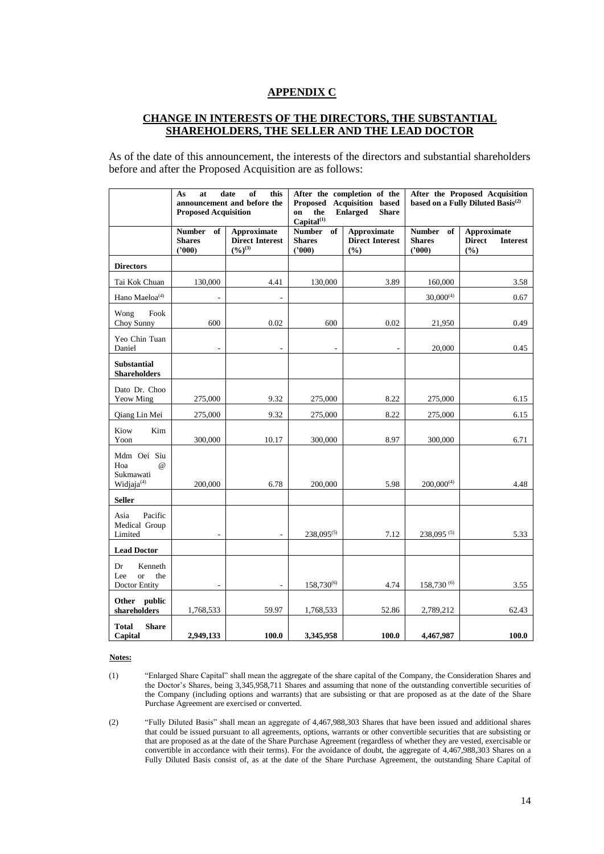#### **APPENDIX C**

## **CHANGE IN INTERESTS OF THE DIRECTORS, THE SUBSTANTIAL SHAREHOLDERS, THE SELLER AND THE LEAD DOCTOR**

As of the date of this announcement, the interests of the directors and substantial shareholders before and after the Proposed Acquisition are as follows:

|                                                                       | As<br>at<br><b>Proposed Acquisition</b>        | of<br>this<br>date<br>announcement and before the                     | After the completion of the<br>Proposed<br><b>Acquisition</b> based<br><b>Enlarged</b><br>the<br><b>Share</b><br>on<br>Capital <sup>(1)</sup> |                                                     | After the Proposed Acquisition<br>based on a Fully Diluted Basis <sup>(2)</sup> |                                                        |
|-----------------------------------------------------------------------|------------------------------------------------|-----------------------------------------------------------------------|-----------------------------------------------------------------------------------------------------------------------------------------------|-----------------------------------------------------|---------------------------------------------------------------------------------|--------------------------------------------------------|
|                                                                       | <b>Number</b><br>of<br><b>Shares</b><br>(2000) | <b>Approximate</b><br><b>Direct Interest</b><br>$(\frac{6}{9})^{(3)}$ | <b>Number</b><br>of<br><b>Shares</b><br>(2000)                                                                                                | <b>Approximate</b><br><b>Direct Interest</b><br>(%) | <b>Number</b><br>of<br><b>Shares</b><br>(2000)                                  | Approximate<br><b>Direct</b><br><b>Interest</b><br>(%) |
| <b>Directors</b>                                                      |                                                |                                                                       |                                                                                                                                               |                                                     |                                                                                 |                                                        |
| Tai Kok Chuan                                                         | 130,000                                        | 4.41                                                                  | 130,000                                                                                                                                       | 3.89                                                | 160,000                                                                         | 3.58                                                   |
| Hano Maeloa <sup>(4)</sup>                                            |                                                |                                                                       |                                                                                                                                               |                                                     | $30,000^{(4)}$                                                                  | 0.67                                                   |
| Fook<br>Wong<br>Choy Sunny                                            | 600                                            | 0.02                                                                  | 600                                                                                                                                           | 0.02                                                | 21,950                                                                          | 0.49                                                   |
| Yeo Chin Tuan<br>Daniel                                               | $\overline{\phantom{a}}$                       | $\overline{a}$                                                        | $\qquad \qquad \blacksquare$                                                                                                                  | $\overline{a}$                                      | 20,000                                                                          | 0.45                                                   |
| <b>Substantial</b><br><b>Shareholders</b>                             |                                                |                                                                       |                                                                                                                                               |                                                     |                                                                                 |                                                        |
| Dato Dr. Choo<br><b>Yeow Ming</b>                                     | 275,000                                        | 9.32                                                                  | 275,000                                                                                                                                       | 8.22                                                | 275,000                                                                         | 6.15                                                   |
| Qiang Lin Mei                                                         | 275,000                                        | 9.32                                                                  | 275,000                                                                                                                                       | 8.22                                                | 275,000                                                                         | 6.15                                                   |
| Kiow<br>Kim<br>Yoon                                                   | 300,000                                        | 10.17                                                                 | 300,000                                                                                                                                       | 8.97                                                | 300,000                                                                         | 6.71                                                   |
| Mdm Oei Siu<br>$\omega$<br>Hoa<br>Sukmawati<br>Widjaja <sup>(4)</sup> | 200,000                                        | 6.78                                                                  | 200,000                                                                                                                                       | 5.98                                                | $200,000^{(4)}$                                                                 | 4.48                                                   |
| <b>Seller</b>                                                         |                                                |                                                                       |                                                                                                                                               |                                                     |                                                                                 |                                                        |
| Pacific<br>Asia<br>Medical Group<br>Limited                           |                                                |                                                                       | $238.095^{(5)}$                                                                                                                               | 7.12                                                | 238,095 <sup>(5)</sup>                                                          | 5.33                                                   |
| <b>Lead Doctor</b>                                                    |                                                |                                                                       |                                                                                                                                               |                                                     |                                                                                 |                                                        |
| Dr<br>Kenneth<br><sub>or</sub><br>the<br>Lee<br>Doctor Entity         | $\overline{\phantom{a}}$                       | $\overline{\phantom{a}}$                                              | 158,730 <sup>(6)</sup>                                                                                                                        | 4.74                                                | 158,730 (6)                                                                     | 3.55                                                   |
| Other public<br>shareholders                                          | 1,768,533                                      | 59.97                                                                 | 1,768,533                                                                                                                                     | 52.86                                               | 2,789,212                                                                       | 62.43                                                  |
| <b>Total</b><br><b>Share</b><br>Capital                               | 2,949,133                                      | <b>100.0</b>                                                          | 3,345,958                                                                                                                                     | 100.0                                               | 4,467,987                                                                       | 100.0                                                  |

**Notes:**

(2) "Fully Diluted Basis" shall mean an aggregate of 4,467,988,303 Shares that have been issued and additional shares that could be issued pursuant to all agreements, options, warrants or other convertible securities that are subsisting or that are proposed as at the date of the Share Purchase Agreement (regardless of whether they are vested, exercisable or convertible in accordance with their terms). For the avoidance of doubt, the aggregate of 4,467,988,303 Shares on a Fully Diluted Basis consist of, as at the date of the Share Purchase Agreement, the outstanding Share Capital of

<sup>(1)</sup> "Enlarged Share Capital" shall mean the aggregate of the share capital of the Company, the Consideration Shares and the Doctor's Shares, being 3,345,958,711 Shares and assuming that none of the outstanding convertible securities of the Company (including options and warrants) that are subsisting or that are proposed as at the date of the Share Purchase Agreement are exercised or converted.